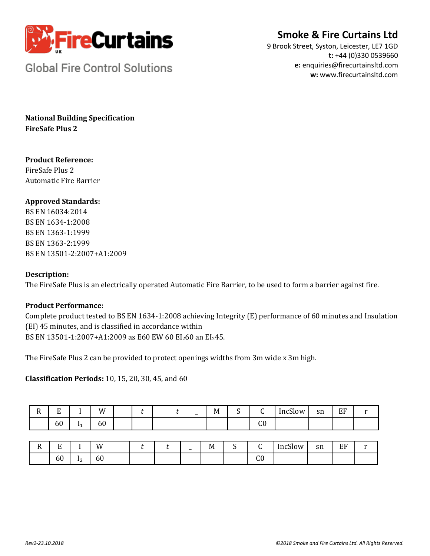

## **Smoke & Fire Curtains Ltd**

9 Brook Street, Syston, Leicester, LE7 1GD **t:** +44 (0)330 0539660 **e:** enquiries@firecurtainsltd.com **w:** [www.firecurtainsltd.com](http://www.firecurtainsltd.com/)

**Global Fire Control Solutions** 

**National Building Specification FireSafe Plus 2**

## **Product Reference:**

FireSafe Plus 2 Automatic Fire Barrier

## **Approved Standards:**

BS EN 16034:2014 BS EN 1634-1:2008 BS EN 1363-1:1999 BS EN 1363-2:1999 BS EN 13501-2:2007+A1:2009

### **Description:**

The FireSafe Plus is an electrically operated Automatic Fire Barrier, to be used to form a barrier against fire.

## **Product Performance:**

Complete product tested to BS EN 1634-1:2008 achieving Integrity (E) performance of 60 minutes and Insulation (EI) 45 minutes, and is classified in accordance within BS EN 13501-1:2007+A1:2009 as E60 EW 60 EI<sub>2</sub>60 an EI<sub>2</sub>45.

The FireSafe Plus 2 can be provided to protect openings widths from 3m wide x 3m high.

**Classification Periods:** 10, 15, 20, 30, 45, and 60

| D<br>-11 | $\blacksquare$<br>∸ |                | W  |  | $\overline{\phantom{0}}$ | . .<br>M | $\overline{\phantom{0}}$ | $\sim$<br>ັ  | $\mathbf{a}$<br>IncSlow | sn | EF |  |
|----------|---------------------|----------------|----|--|--------------------------|----------|--------------------------|--------------|-------------------------|----|----|--|
|          | 60                  | Ţ.<br><b>.</b> | 60 |  |                          |          |                          | $\sim$<br>uν |                         |    |    |  |

| Ð<br> | Ð<br>୴ |                      | W  |  | $\overline{\phantom{0}}$ | M | -<br>ັ | ∼            | $\sim$<br>low<br>lnc: | sn<br>$\sim$ | EF |  |
|-------|--------|----------------------|----|--|--------------------------|---|--------|--------------|-----------------------|--------------|----|--|
|       | 60     | . .<br>.<br><u>.</u> | 60 |  |                          |   |        | $\sim$<br>uν |                       |              |    |  |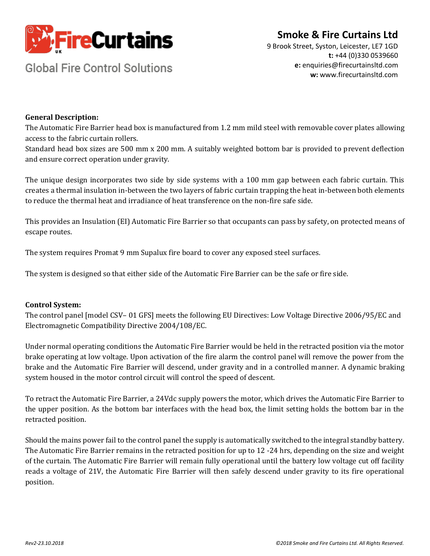

# **Smoke & Fire Curtains Ltd**

**Global Fire Control Solutions** 

9 Brook Street, Syston, Leicester, LE7 1GD **t:** +44 (0)330 0539660 **e:** enquiries@firecurtainsltd.com **w:** [www.firecurtainsltd.com](http://www.firecurtainsltd.com/)

### **General Description:**

The Automatic Fire Barrier head box is manufactured from 1.2 mm mild steel with removable cover plates allowing access to the fabric curtain rollers.

Standard head box sizes are 500 mm x 200 mm. A suitably weighted bottom bar is provided to prevent deflection and ensure correct operation under gravity.

The unique design incorporates two side by side systems with a 100 mm gap between each fabric curtain. This creates a thermal insulation in-between the two layers of fabric curtain trapping the heat in-between both elements to reduce the thermal heat and irradiance of heat transference on the non-fire safe side.

This provides an Insulation (EI) Automatic Fire Barrier so that occupants can pass by safety, on protected means of escape routes.

The system requires Promat 9 mm Supalux fire board to cover any exposed steel surfaces.

The system is designed so that either side of the Automatic Fire Barrier can be the safe or fire side.

### **Control System:**

The control panel [model CSV– 01 GFS] meets the following EU Directives: Low Voltage Directive 2006/95/EC and Electromagnetic Compatibility Directive 2004/108/EC.

Under normal operating conditions the Automatic Fire Barrier would be held in the retracted position via the motor brake operating at low voltage. Upon activation of the fire alarm the control panel will remove the power from the brake and the Automatic Fire Barrier will descend, under gravity and in a controlled manner. A dynamic braking system housed in the motor control circuit will control the speed of descent.

To retract the Automatic Fire Barrier, a 24Vdc supply powers the motor, which drives the Automatic Fire Barrier to the upper position. As the bottom bar interfaces with the head box, the limit setting holds the bottom bar in the retracted position.

Should the mains power fail to the control panel the supply is automatically switched to the integral standby battery. The Automatic Fire Barrier remains in the retracted position for up to 12 -24 hrs, depending on the size and weight of the curtain. The Automatic Fire Barrier will remain fully operational until the battery low voltage cut off facility reads a voltage of 21V, the Automatic Fire Barrier will then safely descend under gravity to its fire operational position.